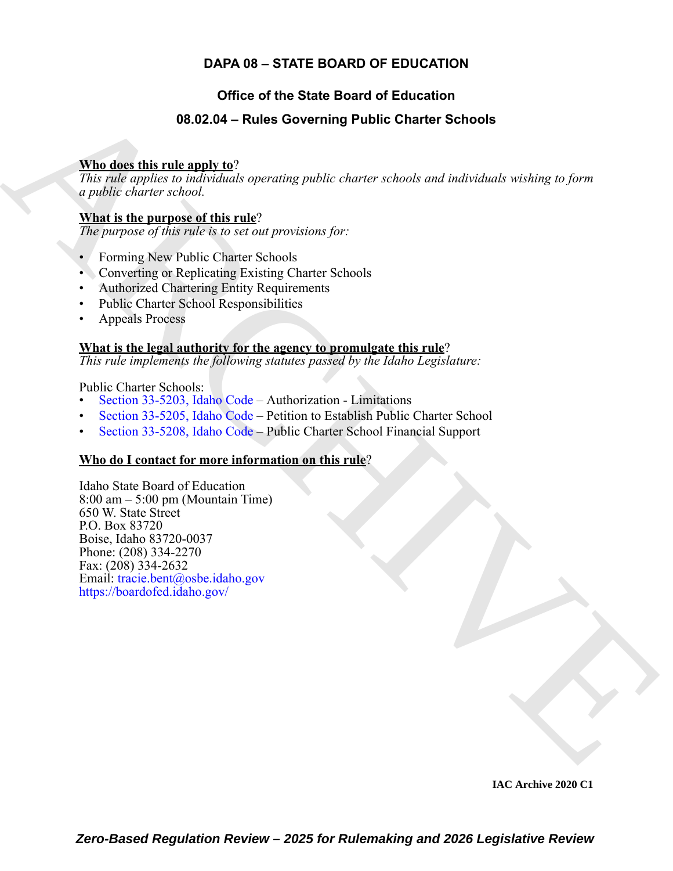### **DAPA 08 – STATE BOARD OF EDUCATION**

### **Office of the State Board of Education**

### **08.02.04 – Rules Governing Public Charter Schools**

### **Who does this rule apply to**?

*This rule applies to individuals operating public charter schools and individuals wishing to form a public charter school.*

### **What is the purpose of this rule**?

*The purpose of this rule is to set out provisions for:*

- Forming New Public Charter Schools
- Converting or Replicating Existing Charter Schools
- Authorized Chartering Entity Requirements
- Public Charter School Responsibilities
- Appeals Process

### **What is the legal authority for the agency to promulgate this rule**?

*This rule implements the following statutes passed by the Idaho Legislature:*

Public Charter Schools:

- Section 33-5203, Idaho Code Authorization Limitations
- Section 33-5205, Idaho Code Petition to Establish Public Charter School
- Section 33-5208, Idaho Code Public Charter School Financial Support

### **Who do I contact for more information on this rule**?

<span id="page-0-0"></span>**36.22.04 – Rules Governing Public [C](https://legislature.idaho.gov/statutesrules/idstat/Title33/T33CH52/SECT33-5203)harter Schools**<br>
This diges this rule and v  $\Omega^2$ <br>
This realize downts stolend.<br> *a mabile charter stohed.*<br> **ARCH[I](mailto: tracie.bent@osbe.idaho.gov)[V](https://boardofed.idaho.gov/)E Charter** stolend.<br> **ARCHIVE CONDITION**  $\Omega^2$  and  $\Omega^2$  and  $\Omega^2$ Idaho State Board of Education  $8:00 \text{ am} - 5:00 \text{ pm}$  (Mountain Time) 650 W. State Street P.O. Box 83720 Boise, Idaho 83720-0037 Phone: (208) 334-2270 Fax: (208) 334-2632 Email: tracie.bent@osbe.idaho.gov https://boardofed.idaho.gov/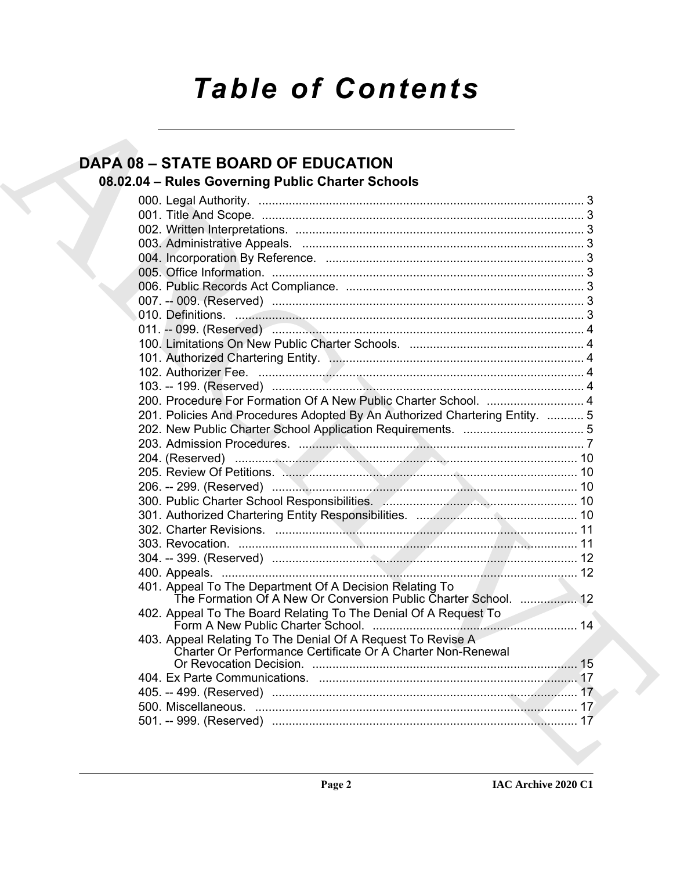# **Table of Contents**

## **DAPA 08 - STATE BOARD OF EDUCATION**

## 08.02.04 - Rules Governing Public Charter Schools

|  | 200. Procedure For Formation Of A New Public Charter School.  4                                                            |  |
|--|----------------------------------------------------------------------------------------------------------------------------|--|
|  | 201. Policies And Procedures Adopted By An Authorized Chartering Entity.  5                                                |  |
|  |                                                                                                                            |  |
|  |                                                                                                                            |  |
|  |                                                                                                                            |  |
|  |                                                                                                                            |  |
|  |                                                                                                                            |  |
|  |                                                                                                                            |  |
|  |                                                                                                                            |  |
|  |                                                                                                                            |  |
|  |                                                                                                                            |  |
|  |                                                                                                                            |  |
|  |                                                                                                                            |  |
|  | 401. Appeal To The Department Of A Decision Relating To                                                                    |  |
|  | The Formation Of A New Or Conversion Public Charter School.  12                                                            |  |
|  | 402. Appeal To The Board Relating To The Denial Of A Request To                                                            |  |
|  |                                                                                                                            |  |
|  | 403. Appeal Relating To The Denial Of A Request To Revise A<br>Charter Or Performance Certificate Or A Charter Non-Renewal |  |
|  |                                                                                                                            |  |
|  |                                                                                                                            |  |
|  |                                                                                                                            |  |
|  |                                                                                                                            |  |
|  |                                                                                                                            |  |
|  |                                                                                                                            |  |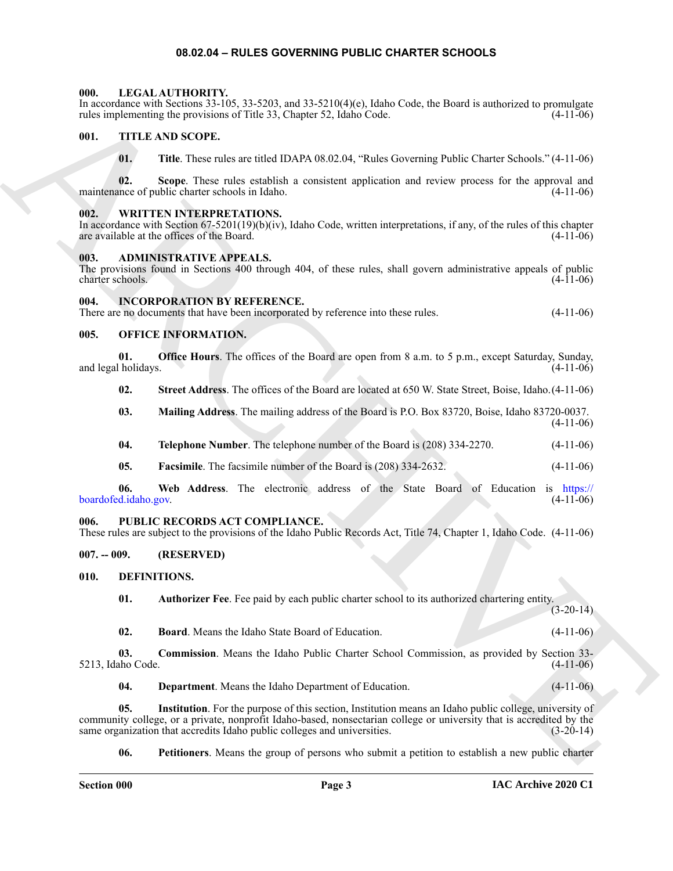### **08.02.04 – RULES GOVERNING PUBLIC CHARTER SCHOOLS**

### <span id="page-2-18"></span><span id="page-2-1"></span><span id="page-2-0"></span>**000. LEGAL AUTHORITY.**

In accordance with Sections 33-105, 33-5203, and 33-5210(4)(e), Idaho Code, the Board is authorized to promulgate rules implementing the provisions of Title 33, Chapter 52, Idaho Code. (4-11-06)

### <span id="page-2-2"></span>**001. TITLE AND SCOPE.**

<span id="page-2-21"></span>**01. Title**. These rules are titled IDAPA 08.02.04, "Rules Governing Public Charter Schools." (4-11-06)

**02.** Scope. These rules establish a consistent application and review process for the approval and nece of public charter schools in Idaho. (4-11-06) maintenance of public charter schools in Idaho.

### <span id="page-2-22"></span><span id="page-2-3"></span>**002. WRITTEN INTERPRETATIONS.**

In accordance with Section 67-5201(19)(b)(iv), Idaho Code, written interpretations, if any, of the rules of this chapter are available at the offices of the Board.  $(4-11-06)$ are available at the offices of the Board.

### <span id="page-2-10"></span><span id="page-2-4"></span>**003. ADMINISTRATIVE APPEALS.**

The provisions found in Sections 400 through 404, of these rules, shall govern administrative appeals of public charter schools. (4-11-06) charter schools.

### <span id="page-2-5"></span>**004. INCORPORATION BY REFERENCE.**

There are no documents that have been incorporated by reference into these rules. (4-11-06)

### <span id="page-2-19"></span><span id="page-2-6"></span>**005. OFFICE INFORMATION.**

**01. Office Hours**. The offices of the Board are open from 8 a.m. to 5 p.m., except Saturday, Sunday, and legal holidays.

**02. Street Address**. The offices of the Board are located at 650 W. State Street, Boise, Idaho.(4-11-06)

- **03. Mailing Address**. The mailing address of the Board is P.O. Box 83720, Boise, Idaho 83720-0037. (4-11-06)
- **04. Telephone Number**. The telephone number of the Board is (208) 334-2270. (4-11-06)
- **05. Facsimile**. The facsimile number of the Board is (208) 334-2632. (4-11-06)

**06. Web Address**. The electronic address of the State Board of Education is https:// boardofed.idaho.gov.

### <span id="page-2-20"></span><span id="page-2-7"></span>**006. PUBLIC RECORDS ACT COMPLIANCE.**

These rules are subject to the provisions of the Idaho Public Records Act, Title 74, Chapter 1, Idaho Code. (4-11-06)

### <span id="page-2-8"></span>**007. -- 009. (RESERVED)**

### <span id="page-2-9"></span>**010. DEFINITIONS.**

<span id="page-2-12"></span><span id="page-2-11"></span>**01. Authorizer Fee**. Fee paid by each public charter school to its authorized chartering entity. (3-20-14)

<span id="page-2-14"></span><span id="page-2-13"></span>**02. Board**. Means the Idaho State Board of Education. (4-11-06)

**03. Commission**. Means the Idaho Public Charter School Commission, as provided by Section 33-<br>ho Code. (4-11-06) 5213, Idaho Code.

<span id="page-2-16"></span><span id="page-2-15"></span>**04. Department**. Means the Idaho Department of Education. (4-11-06)

Example, with Exchange 3.100, S2, 2003. (and 2.11) (and Cole, the Download of Proposition of the U.S. THE ARCHIVES (and 1.12) (b). THE ARCHIVES (and 1.13) (b). THE ARCHIVES (and 1.13) (b). THE ARCHIVES (and 1.13) (b). The **05. Institution**. For the purpose of this section, Institution means an Idaho public college, university of community college, or a private, nonprofit Idaho-based, nonsectarian college or university that is accredited by the same organization that accredits Idaho public colleges and universities. (3-20-14)

<span id="page-2-17"></span>**06. Petitioners**. Means the group of persons who submit a petition to establish a new public charter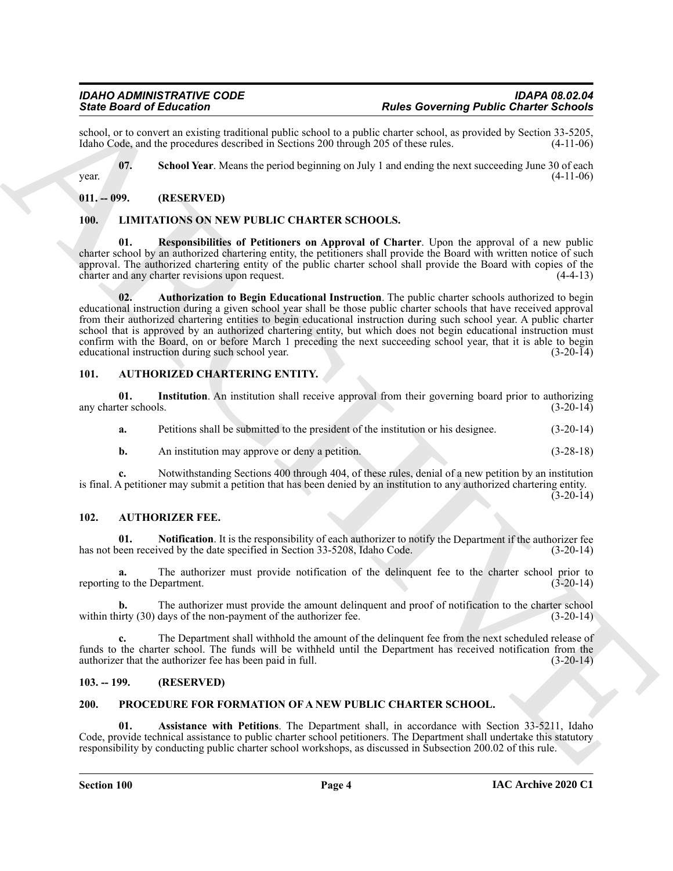### <span id="page-3-10"></span><span id="page-3-0"></span>**011. -- 099. (RESERVED)**

### <span id="page-3-13"></span><span id="page-3-12"></span><span id="page-3-11"></span><span id="page-3-1"></span>**100. LIMITATIONS ON NEW PUBLIC CHARTER SCHOOLS.**

### <span id="page-3-7"></span><span id="page-3-6"></span><span id="page-3-2"></span>**101. AUTHORIZED CHARTERING ENTITY.**

| school, or to convert an existing traditional public school to a public charter school, as provided by Section 33-5205,<br>Idaho Code, and the procedures described in Sections 200 through 205 of these rules.<br>$(4-11-06)$<br>07.<br>School Year. Means the period beginning on July 1 and ending the next succeeding June 30 of each<br>$(4-11-06)$<br>year.<br>$011. - 099.$<br>(RESERVED)<br><b>100.</b><br>LIMITATIONS ON NEW PUBLIC CHARTER SCHOOLS.<br>01.<br>Responsibilities of Petitioners on Approval of Charter. Upon the approval of a new public<br>charter school by an authorized chartering entity, the petitioners shall provide the Board with written notice of such<br>approval. The authorized chartering entity of the public charter school shall provide the Board with copies of the<br>charter and any charter revisions upon request.<br>$(4-4-13)$<br>Authorization to Begin Educational Instruction. The public charter schools authorized to begin<br>02.<br>educational instruction during a given school year shall be those public charter schools that have received approval<br>from their authorized chartering entities to begin educational instruction during such school year. A public charter<br>school that is approved by an authorized chartering entity, but which does not begin educational instruction must<br>confirm with the Board, on or before March 1 preceding the next succeeding school year, that it is able to begin<br>educational instruction during such school year.<br>$(3-20-14)$ |
|---------------------------------------------------------------------------------------------------------------------------------------------------------------------------------------------------------------------------------------------------------------------------------------------------------------------------------------------------------------------------------------------------------------------------------------------------------------------------------------------------------------------------------------------------------------------------------------------------------------------------------------------------------------------------------------------------------------------------------------------------------------------------------------------------------------------------------------------------------------------------------------------------------------------------------------------------------------------------------------------------------------------------------------------------------------------------------------------------------------------------------------------------------------------------------------------------------------------------------------------------------------------------------------------------------------------------------------------------------------------------------------------------------------------------------------------------------------------------------------------------------------------------------------------------------|
|                                                                                                                                                                                                                                                                                                                                                                                                                                                                                                                                                                                                                                                                                                                                                                                                                                                                                                                                                                                                                                                                                                                                                                                                                                                                                                                                                                                                                                                                                                                                                         |
|                                                                                                                                                                                                                                                                                                                                                                                                                                                                                                                                                                                                                                                                                                                                                                                                                                                                                                                                                                                                                                                                                                                                                                                                                                                                                                                                                                                                                                                                                                                                                         |
|                                                                                                                                                                                                                                                                                                                                                                                                                                                                                                                                                                                                                                                                                                                                                                                                                                                                                                                                                                                                                                                                                                                                                                                                                                                                                                                                                                                                                                                                                                                                                         |
|                                                                                                                                                                                                                                                                                                                                                                                                                                                                                                                                                                                                                                                                                                                                                                                                                                                                                                                                                                                                                                                                                                                                                                                                                                                                                                                                                                                                                                                                                                                                                         |
|                                                                                                                                                                                                                                                                                                                                                                                                                                                                                                                                                                                                                                                                                                                                                                                                                                                                                                                                                                                                                                                                                                                                                                                                                                                                                                                                                                                                                                                                                                                                                         |
|                                                                                                                                                                                                                                                                                                                                                                                                                                                                                                                                                                                                                                                                                                                                                                                                                                                                                                                                                                                                                                                                                                                                                                                                                                                                                                                                                                                                                                                                                                                                                         |
| <b>AUTHORIZED CHARTERING ENTITY.</b><br>101.                                                                                                                                                                                                                                                                                                                                                                                                                                                                                                                                                                                                                                                                                                                                                                                                                                                                                                                                                                                                                                                                                                                                                                                                                                                                                                                                                                                                                                                                                                            |
| Institution. An institution shall receive approval from their governing board prior to authorizing<br>01.<br>any charter schools.<br>$(3-20-14)$                                                                                                                                                                                                                                                                                                                                                                                                                                                                                                                                                                                                                                                                                                                                                                                                                                                                                                                                                                                                                                                                                                                                                                                                                                                                                                                                                                                                        |
| Petitions shall be submitted to the president of the institution or his designee.<br>$(3-20-14)$<br>a.                                                                                                                                                                                                                                                                                                                                                                                                                                                                                                                                                                                                                                                                                                                                                                                                                                                                                                                                                                                                                                                                                                                                                                                                                                                                                                                                                                                                                                                  |
| An institution may approve or deny a petition.<br>$(3-28-18)$<br>b.                                                                                                                                                                                                                                                                                                                                                                                                                                                                                                                                                                                                                                                                                                                                                                                                                                                                                                                                                                                                                                                                                                                                                                                                                                                                                                                                                                                                                                                                                     |
| Notwithstanding Sections 400 through 404, of these rules, denial of a new petition by an institution<br>$c_{\cdot}$<br>is final. A petitioner may submit a petition that has been denied by an institution to any authorized chartering entity.<br>$(3-20-14)$                                                                                                                                                                                                                                                                                                                                                                                                                                                                                                                                                                                                                                                                                                                                                                                                                                                                                                                                                                                                                                                                                                                                                                                                                                                                                          |
| 102.<br><b>AUTHORIZER FEE.</b>                                                                                                                                                                                                                                                                                                                                                                                                                                                                                                                                                                                                                                                                                                                                                                                                                                                                                                                                                                                                                                                                                                                                                                                                                                                                                                                                                                                                                                                                                                                          |
| 01.<br><b>Notification.</b> It is the responsibility of each authorizer to notify the Department if the authorizer fee<br>has not been received by the date specified in Section 33-5208, Idaho Code.<br>$(3-20-14)$                                                                                                                                                                                                                                                                                                                                                                                                                                                                                                                                                                                                                                                                                                                                                                                                                                                                                                                                                                                                                                                                                                                                                                                                                                                                                                                                    |
| The authorizer must provide notification of the delinquent fee to the charter school prior to<br>a.<br>reporting to the Department.<br>$(3-20-14)$                                                                                                                                                                                                                                                                                                                                                                                                                                                                                                                                                                                                                                                                                                                                                                                                                                                                                                                                                                                                                                                                                                                                                                                                                                                                                                                                                                                                      |
| The authorizer must provide the amount delinquent and proof of notification to the charter school<br>b.<br>within thirty (30) days of the non-payment of the authorizer fee.<br>$(3-20-14)$                                                                                                                                                                                                                                                                                                                                                                                                                                                                                                                                                                                                                                                                                                                                                                                                                                                                                                                                                                                                                                                                                                                                                                                                                                                                                                                                                             |
| The Department shall withhold the amount of the delinquent fee from the next scheduled release of<br>$c_{\bullet}$<br>funds to the charter school. The funds will be withheld until the Department has received notification from the<br>authorizer that the authorizer fee has been paid in full.<br>$(3-20-14)$                                                                                                                                                                                                                                                                                                                                                                                                                                                                                                                                                                                                                                                                                                                                                                                                                                                                                                                                                                                                                                                                                                                                                                                                                                       |
| $103. - 199.$<br>(RESERVED)                                                                                                                                                                                                                                                                                                                                                                                                                                                                                                                                                                                                                                                                                                                                                                                                                                                                                                                                                                                                                                                                                                                                                                                                                                                                                                                                                                                                                                                                                                                             |
| 200.<br>PROCEDURE FOR FORMATION OF A NEW PUBLIC CHARTER SCHOOL.                                                                                                                                                                                                                                                                                                                                                                                                                                                                                                                                                                                                                                                                                                                                                                                                                                                                                                                                                                                                                                                                                                                                                                                                                                                                                                                                                                                                                                                                                         |
| 01.<br>Assistance with Petitions. The Department shall, in accordance with Section 33-5211, Idaho<br>Code, provide technical assistance to public charter school petitioners. The Department shall undertake this statutory<br>responsibility by conducting public charter school workshops, as discussed in Subsection 200.02 of this rule.                                                                                                                                                                                                                                                                                                                                                                                                                                                                                                                                                                                                                                                                                                                                                                                                                                                                                                                                                                                                                                                                                                                                                                                                            |

### <span id="page-3-9"></span><span id="page-3-8"></span><span id="page-3-3"></span>**102. AUTHORIZER FEE.**

### <span id="page-3-4"></span>**103. -- 199. (RESERVED)**

### <span id="page-3-15"></span><span id="page-3-14"></span><span id="page-3-5"></span>**200. PROCEDURE FOR FORMATION OF A NEW PUBLIC CHARTER SCHOOL.**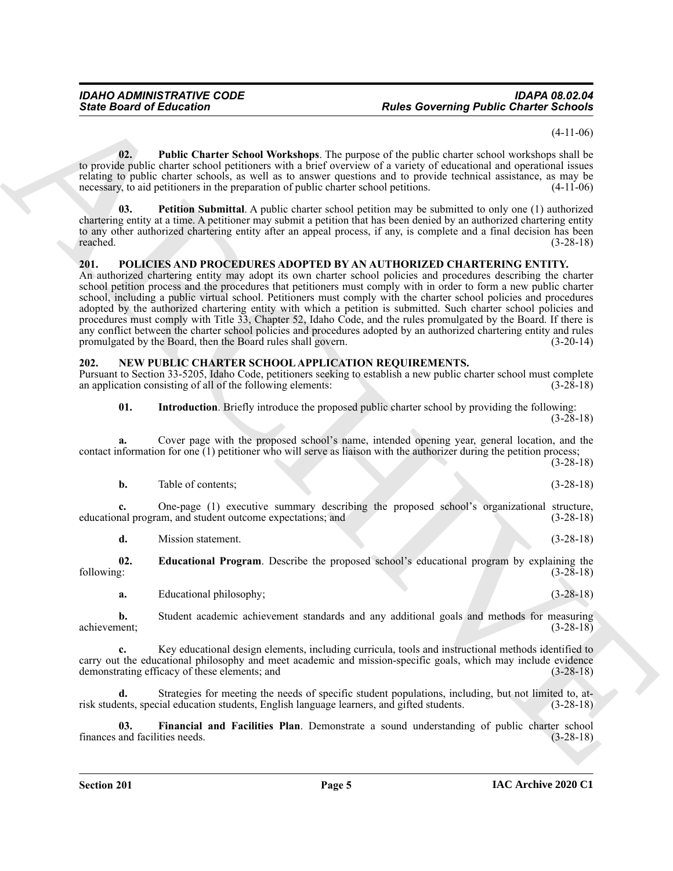(4-11-06)

<span id="page-4-8"></span>**02. Public Charter School Workshops**. The purpose of the public charter school workshops shall be to provide public charter school petitioners with a brief overview of a variety of educational and operational issues relating to public charter schools, as well as to answer questions and to provide technical assistance, as may be necessary, to aid petitioners in the preparation of public charter school petitions. (4-11-06)

<span id="page-4-7"></span>**03. Petition Submittal**. A public charter school petition may be submitted to only one (1) authorized chartering entity at a time. A petitioner may submit a petition that has been denied by an authorized chartering entity to any other authorized chartering entity after an appeal process, if any, is complete and a final decision has been reached. (3-28-18)

### <span id="page-4-6"></span><span id="page-4-0"></span>**201. POLICIES AND PROCEDURES ADOPTED BY AN AUTHORIZED CHARTERING ENTITY.**

Since Board of Entreme Counter Warst Convertise The propose of the problem of our convertise of the state of the state of the state of the state of the state of the state of the state of the state of the state of the stat An authorized chartering entity may adopt its own charter school policies and procedures describing the charter school petition process and the procedures that petitioners must comply with in order to form a new public charter school, including a public virtual school. Petitioners must comply with the charter school policies and procedures adopted by the authorized chartering entity with which a petition is submitted. Such charter school policies and procedures must comply with Title 33, Chapter 52, Idaho Code, and the rules promulgated by the Board. If there is any conflict between the charter school policies and procedures adopted by an authorized chartering entity and rules promulgated by the Board, then the Board rules shall govern. (3-20-14)

### <span id="page-4-2"></span><span id="page-4-1"></span>**202. NEW PUBLIC CHARTER SCHOOL APPLICATION REQUIREMENTS.**

Pursuant to Section 33-5205, Idaho Code, petitioners seeking to establish a new public charter school must complete an application consisting of all of the following elements:

<span id="page-4-5"></span>**01. Introduction**. Briefly introduce the proposed public charter school by providing the following: (3-28-18)

**a.** Cover page with the proposed school's name, intended opening year, general location, and the contact information for one (1) petitioner who will serve as liaison with the authorizer during the petition process;

(3-28-18)

| b. | Table of contents: |  | $(3-28-18)$ |
|----|--------------------|--|-------------|
|    |                    |  |             |

**c.** One-page (1) executive summary describing the proposed school's organizational structure, nal program, and student outcome expectations; and  $(3-28-18)$ educational program, and student outcome expectations; and

<span id="page-4-3"></span>**d.** Mission statement. (3-28-18)

**02. Educational Program**. Describe the proposed school's educational program by explaining the following:  $(3-28-18)$ following: (3-28-18)

**a.** Educational philosophy; (3-28-18)

**b.** Student academic achievement standards and any additional goals and methods for measuring achievement; (3-28-18) achievement; (3-28-18)

**c.** Key educational design elements, including curricula, tools and instructional methods identified to carry out the educational philosophy and meet academic and mission-specific goals, which may include evidence<br>demonstrating efficacy of these elements; and (3-28-18) demonstrating efficacy of these elements; and

**d.** Strategies for meeting the needs of specific student populations, including, but not limited to, atrisk students, special education students, English language learners, and gifted students. (3-28-18)

<span id="page-4-4"></span>**03.** Financial and Facilities Plan. Demonstrate a sound understanding of public charter school and facilities needs. (3-28-18) finances and facilities needs.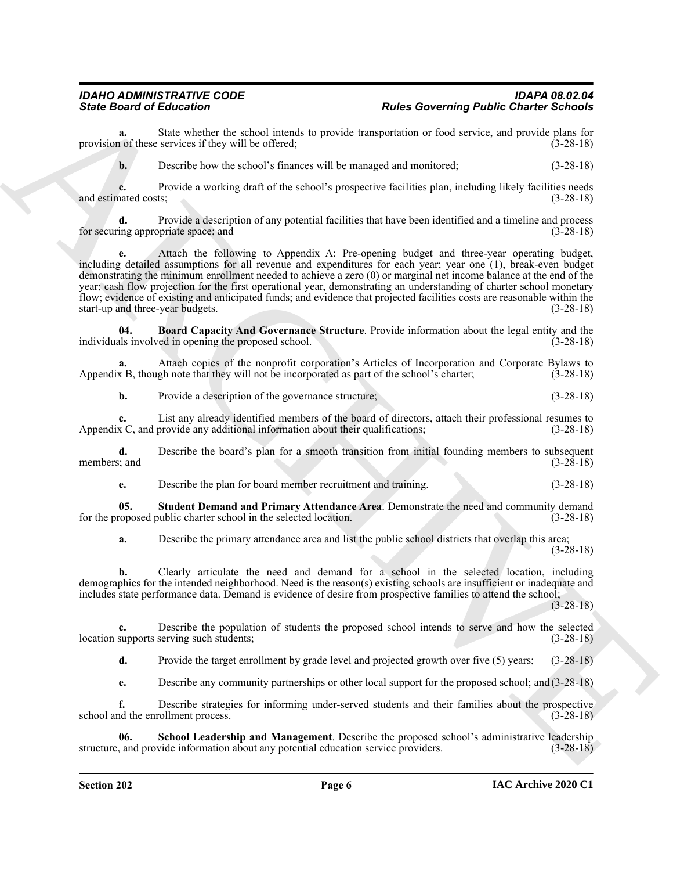**a.** State whether the school intends to provide transportation or food service, and provide plans for 1 of these services if they will be offered; (3-28-18) provision of these services if they will be offered;

**b.** Describe how the school's finances will be managed and monitored;  $(3-28-18)$ 

**c.** Provide a working draft of the school's prospective facilities plan, including likely facilities needs nated costs; (3-28-18) and estimated costs;

**d.** Provide a description of any potential facilities that have been identified and a timeline and process for securing appropriate space; and  $(3-28-18)$ 

Since Broad of Education Control is below the sub-transfer problem Control in the sub-transfer of the sub-transfer of the sub-transfer of the sub-transfer of the sub-transfer of the sub-transfer of the sub-transfer of the **e.** Attach the following to Appendix A: Pre-opening budget and three-year operating budget, including detailed assumptions for all revenue and expenditures for each year; year one (1), break-even budget demonstrating the minimum enrollment needed to achieve a zero (0) or marginal net income balance at the end of the year; cash flow projection for the first operational year, demonstrating an understanding of charter school monetary flow; evidence of existing and anticipated funds; and evidence that projected facilities costs are reasonable within the start-up and three-year budgets. (3-28-18)

<span id="page-5-0"></span>**Board Capacity And Governance Structure**. Provide information about the legal entity and the ed in opening the proposed school. (3-28-18) individuals involved in opening the proposed school.

**a.** Attach copies of the nonprofit corporation's Articles of Incorporation and Corporate Bylaws to x B, though note that they will not be incorporated as part of the school's charter; (3-28-18) Appendix B, though note that they will not be incorporated as part of the school's charter;

**b.** Provide a description of the governance structure; (3-28-18)

**c.** List any already identified members of the board of directors, attach their professional resumes to x C, and provide any additional information about their qualifications; (3-28-18) Appendix C, and provide any additional information about their qualifications;

**d.** Describe the board's plan for a smooth transition from initial founding members to subsequent members: and  $(3-28-18)$ members; and (3-28-18)

<span id="page-5-2"></span>**e.** Describe the plan for board member recruitment and training. (3-28-18)

**05. Student Demand and Primary Attendance Area**. Demonstrate the need and community demand for the proposed public charter school in the selected location. (3-28-18)

**a.** Describe the primary attendance area and list the public school districts that overlap this area;

(3-28-18)

**b.** Clearly articulate the need and demand for a school in the selected location, including demographics for the intended neighborhood. Need is the reason(s) existing schools are insufficient or inadequate and includes state performance data. Demand is evidence of desire from prospective families to attend the school;

 $(3-28-18)$ 

**c.** Describe the population of students the proposed school intends to serve and how the selected supports serving such students; (3-28-18) location supports serving such students;

**d.** Provide the target enrollment by grade level and projected growth over five (5) years; (3-28-18)

<span id="page-5-1"></span>**e.** Describe any community partnerships or other local support for the proposed school; and (3-28-18)

**f.** Describe strategies for informing under-served students and their families about the prospective school and the enrollment process. (3-28-18)

**School Leadership and Management**. Describe the proposed school's administrative leadership vide information about any potential education service providers. (3-28-18) structure, and provide information about any potential education service providers.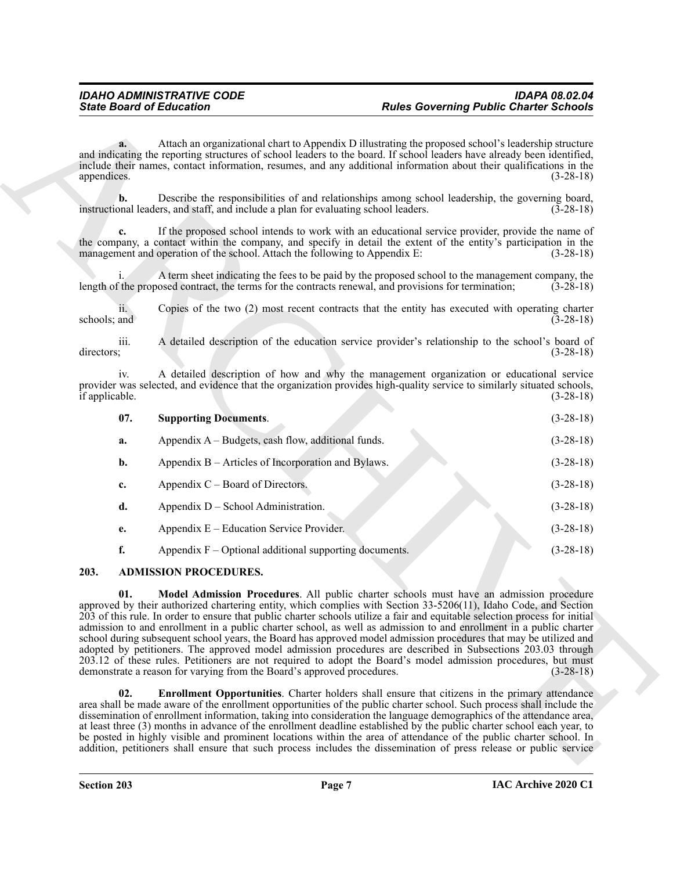|                       | <b>State Board of Education</b>                                                                                                                                                                                                                                                                                                                                                                                                                                                                                                                                                                                                                                                                                                                                                                                                                                                                                                                                                                                                                                                                                                                                                                                                                           | <b>Rules Governing Public Charter Schools</b> |             |  |  |
|-----------------------|-----------------------------------------------------------------------------------------------------------------------------------------------------------------------------------------------------------------------------------------------------------------------------------------------------------------------------------------------------------------------------------------------------------------------------------------------------------------------------------------------------------------------------------------------------------------------------------------------------------------------------------------------------------------------------------------------------------------------------------------------------------------------------------------------------------------------------------------------------------------------------------------------------------------------------------------------------------------------------------------------------------------------------------------------------------------------------------------------------------------------------------------------------------------------------------------------------------------------------------------------------------|-----------------------------------------------|-------------|--|--|
| a.<br>appendices.     | Attach an organizational chart to Appendix D illustrating the proposed school's leadership structure<br>and indicating the reporting structures of school leaders to the board. If school leaders have already been identified,<br>include their names, contact information, resumes, and any additional information about their qualifications in the<br>$(3-28-18)$                                                                                                                                                                                                                                                                                                                                                                                                                                                                                                                                                                                                                                                                                                                                                                                                                                                                                     |                                               |             |  |  |
| $\mathbf{b}$ .        | Describe the responsibilities of and relationships among school leadership, the governing board,<br>instructional leaders, and staff, and include a plan for evaluating school leaders.                                                                                                                                                                                                                                                                                                                                                                                                                                                                                                                                                                                                                                                                                                                                                                                                                                                                                                                                                                                                                                                                   |                                               | $(3-28-18)$ |  |  |
|                       | If the proposed school intends to work with an educational service provider, provide the name of<br>the company, a contact within the company, and specify in detail the extent of the entity's participation in the<br>management and operation of the school. Attach the following to Appendix E:                                                                                                                                                                                                                                                                                                                                                                                                                                                                                                                                                                                                                                                                                                                                                                                                                                                                                                                                                       |                                               | $(3-28-18)$ |  |  |
|                       | A term sheet indicating the fees to be paid by the proposed school to the management company, the<br>length of the proposed contract, the terms for the contracts renewal, and provisions for termination;                                                                                                                                                                                                                                                                                                                                                                                                                                                                                                                                                                                                                                                                                                                                                                                                                                                                                                                                                                                                                                                |                                               | $(3-28-18)$ |  |  |
| 11.<br>schools; and   | Copies of the two (2) most recent contracts that the entity has executed with operating charter                                                                                                                                                                                                                                                                                                                                                                                                                                                                                                                                                                                                                                                                                                                                                                                                                                                                                                                                                                                                                                                                                                                                                           |                                               | $(3-28-18)$ |  |  |
| iii.<br>directors;    | A detailed description of the education service provider's relationship to the school's board of                                                                                                                                                                                                                                                                                                                                                                                                                                                                                                                                                                                                                                                                                                                                                                                                                                                                                                                                                                                                                                                                                                                                                          |                                               | $(3-28-18)$ |  |  |
| iv.<br>if applicable. | A detailed description of how and why the management organization or educational service<br>provider was selected, and evidence that the organization provides high-quality service to similarly situated schools,                                                                                                                                                                                                                                                                                                                                                                                                                                                                                                                                                                                                                                                                                                                                                                                                                                                                                                                                                                                                                                        |                                               |             |  |  |
| 07.                   | <b>Supporting Documents.</b>                                                                                                                                                                                                                                                                                                                                                                                                                                                                                                                                                                                                                                                                                                                                                                                                                                                                                                                                                                                                                                                                                                                                                                                                                              |                                               | $(3-28-18)$ |  |  |
| a.                    | Appendix A - Budgets, cash flow, additional funds.                                                                                                                                                                                                                                                                                                                                                                                                                                                                                                                                                                                                                                                                                                                                                                                                                                                                                                                                                                                                                                                                                                                                                                                                        |                                               | $(3-28-18)$ |  |  |
| b.                    | Appendix B – Articles of Incorporation and Bylaws.                                                                                                                                                                                                                                                                                                                                                                                                                                                                                                                                                                                                                                                                                                                                                                                                                                                                                                                                                                                                                                                                                                                                                                                                        |                                               | $(3-28-18)$ |  |  |
| c.                    | Appendix $C -$ Board of Directors.                                                                                                                                                                                                                                                                                                                                                                                                                                                                                                                                                                                                                                                                                                                                                                                                                                                                                                                                                                                                                                                                                                                                                                                                                        |                                               | $(3-28-18)$ |  |  |
| d.                    | Appendix D – School Administration.                                                                                                                                                                                                                                                                                                                                                                                                                                                                                                                                                                                                                                                                                                                                                                                                                                                                                                                                                                                                                                                                                                                                                                                                                       |                                               | $(3-28-18)$ |  |  |
| e.                    | Appendix $E -$ Education Service Provider.                                                                                                                                                                                                                                                                                                                                                                                                                                                                                                                                                                                                                                                                                                                                                                                                                                                                                                                                                                                                                                                                                                                                                                                                                |                                               | $(3-28-18)$ |  |  |
| f.                    | Appendix $F -$ Optional additional supporting documents.                                                                                                                                                                                                                                                                                                                                                                                                                                                                                                                                                                                                                                                                                                                                                                                                                                                                                                                                                                                                                                                                                                                                                                                                  |                                               | $(3-28-18)$ |  |  |
| 203.                  | <b>ADMISSION PROCEDURES.</b>                                                                                                                                                                                                                                                                                                                                                                                                                                                                                                                                                                                                                                                                                                                                                                                                                                                                                                                                                                                                                                                                                                                                                                                                                              |                                               |             |  |  |
| 01.<br>02.            | Model Admission Procedures. All public charter schools must have an admission procedure<br>approved by their authorized chartering entity, which complies with Section 33-5206(11), Idaho Code, and Section<br>203 of this rule. In order to ensure that public charter schools utilize a fair and equitable selection process for initial<br>admission to and enrollment in a public charter school, as well as admission to and enrollment in a public charter<br>school during subsequent school years, the Board has approved model admission procedures that may be utilized and<br>adopted by petitioners. The approved model admission procedures are described in Subsections 203.03 through<br>203.12 of these rules. Petitioners are not required to adopt the Board's model admission procedures, but must<br>demonstrate a reason for varying from the Board's approved procedures.<br><b>Enrollment Opportunities.</b> Charter holders shall ensure that citizens in the primary attendance<br>area shall be made aware of the enrollment opportunities of the public charter school. Such process shall include the<br>dissemination of enrollment information, taking into consideration the language demographics of the attendance area, |                                               | $(3-28-18)$ |  |  |
|                       | at least three (3) months in advance of the enrollment deadline established by the public charter school each year, to<br>be posted in highly visible and prominent locations within the area of attendance of the public charter school. In<br>addition, petitioners shall ensure that such process includes the dissemination of press release or public service                                                                                                                                                                                                                                                                                                                                                                                                                                                                                                                                                                                                                                                                                                                                                                                                                                                                                        |                                               |             |  |  |

### <span id="page-6-4"></span><span id="page-6-3"></span><span id="page-6-2"></span><span id="page-6-1"></span><span id="page-6-0"></span>**203. ADMISSION PROCEDURES.**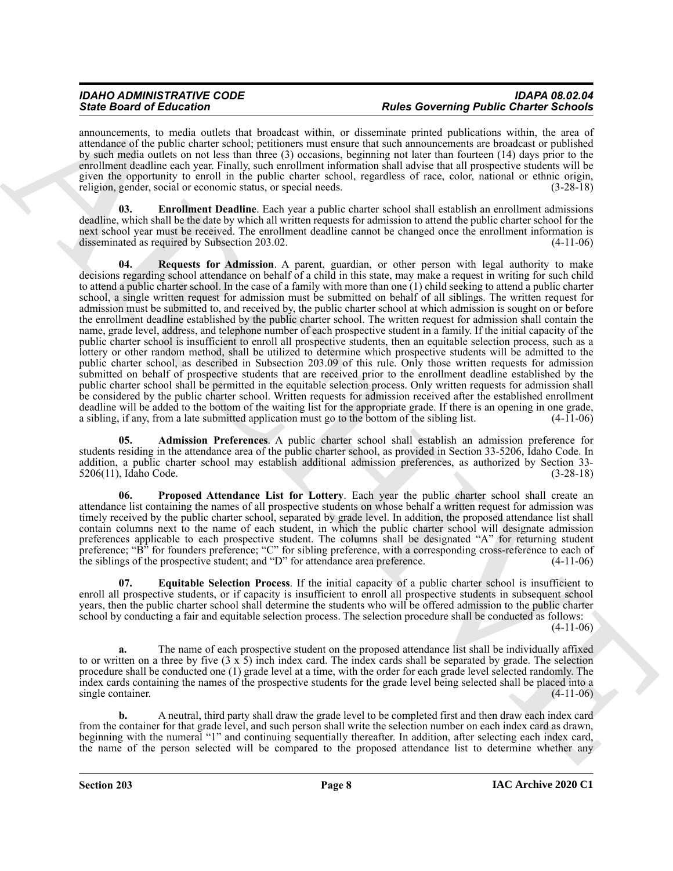announcements, to media outlets that broadcast within, or disseminate printed publications within, the area of attendance of the public charter school; petitioners must ensure that such announcements are broadcast or published by such media outlets on not less than three (3) occasions, beginning not later than fourteen (14) days prior to the enrollment deadline each year. Finally, such enrollment information shall advise that all prospective students will be given the opportunity to enroll in the public charter school, regardless of race, color, national or ethnic origin, religion, gender, social or economic status, or special needs. (3-28-18)

<span id="page-7-4"></span><span id="page-7-1"></span>**03. Enrollment Deadline**. Each year a public charter school shall establish an enrollment admissions deadline, which shall be the date by which all written requests for admission to attend the public charter school for the next school year must be received. The enrollment deadline cannot be changed once the enrollment information is disseminated as required by Subsection 203.02. (4-11-06)

Sink Book of Editorial on the last temperature. These Oscientists are also that the state of the state of the state of the state of the state of the state of the state of the state of the state of the state of the state o **04. Requests for Admission**. A parent, guardian, or other person with legal authority to make decisions regarding school attendance on behalf of a child in this state, may make a request in writing for such child to attend a public charter school. In the case of a family with more than one (1) child seeking to attend a public charter school, a single written request for admission must be submitted on behalf of all siblings. The written request for admission must be submitted to, and received by, the public charter school at which admission is sought on or before the enrollment deadline established by the public charter school. The written request for admission shall contain the name, grade level, address, and telephone number of each prospective student in a family. If the initial capacity of the public charter school is insufficient to enroll all prospective students, then an equitable selection process, such as a lottery or other random method, shall be utilized to determine which prospective students will be admitted to the public charter school, as described in Subsection 203.09 of this rule. Only those written requests for admission submitted on behalf of prospective students that are received prior to the enrollment deadline established by the public charter school shall be permitted in the equitable selection process. Only written requests for admission shall be considered by the public charter school. Written requests for admission received after the established enrollment deadline will be added to the bottom of the waiting list for the appropriate grade. If there is an opening in one grade, a sibling, if any, from a late submitted application must go to the bottom of the sibling list. (4-11 a sibling, if any, from a late submitted application must go to the bottom of the sibling list.

<span id="page-7-0"></span>**05. Admission Preferences**. A public charter school shall establish an admission preference for students residing in the attendance area of the public charter school, as provided in Section 33-5206, Idaho Code. In addition, a public charter school may establish additional admission preferences, as authorized by Section 33-<br>5206(11), Idaho Code. (3-28-18) 5206(11), Idaho Code.

<span id="page-7-3"></span>**06. Proposed Attendance List for Lottery**. Each year the public charter school shall create an attendance list containing the names of all prospective students on whose behalf a written request for admission was timely received by the public charter school, separated by grade level. In addition, the proposed attendance list shall contain columns next to the name of each student, in which the public charter school will designate admission preferences applicable to each prospective student. The columns shall be designated "A" for returning student preference; "B" for founders preference; "C" for sibling preference, with a corresponding cross-reference to each of the siblings of the prospective student; and "D" for attendance area preference. (4-11-06)

<span id="page-7-2"></span>**07. Equitable Selection Process**. If the initial capacity of a public charter school is insufficient to enroll all prospective students, or if capacity is insufficient to enroll all prospective students in subsequent school years, then the public charter school shall determine the students who will be offered admission to the public charter school by conducting a fair and equitable selection process. The selection procedure shall be conducted as follows:  $(4-11-06)$ 

**a.** The name of each prospective student on the proposed attendance list shall be individually affixed to or written on a three by five  $(3 \times 5)$  inch index card. The index cards shall be separated by grade. The selection procedure shall be conducted one (1) grade level at a time, with the order for each grade level selected randomly. The index cards containing the names of the prospective students for the grade level being selected shall be placed into a single container. (4-11-06)

**b.** A neutral, third party shall draw the grade level to be completed first and then draw each index card from the container for that grade level, and such person shall write the selection number on each index card as drawn, beginning with the numeral "1" and continuing sequentially thereafter. In addition, after selecting each index card, the name of the person selected will be compared to the proposed attendance list to determine whether any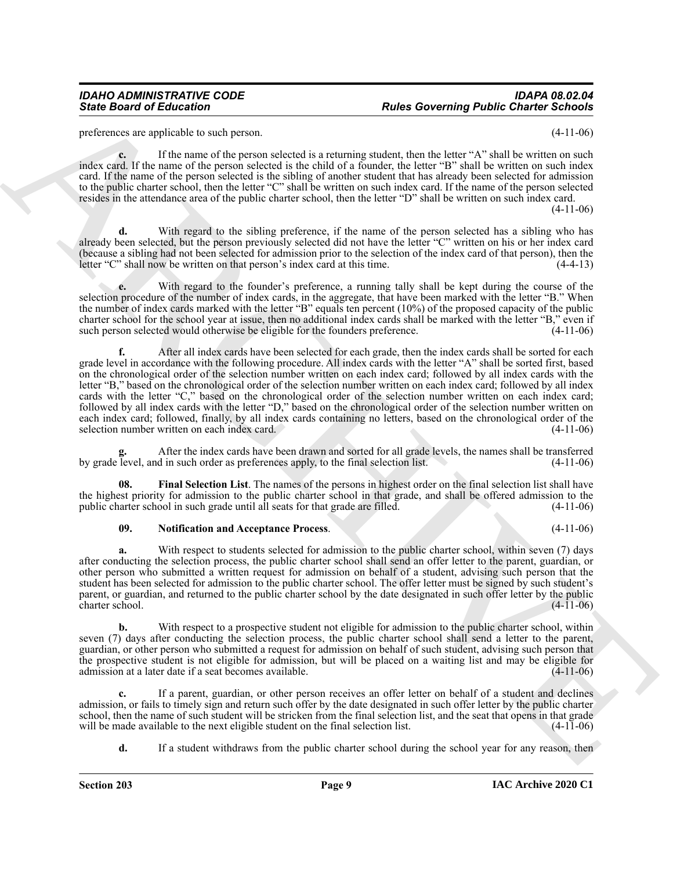preferences are applicable to such person. (4-11-06)

**c.** If the name of the person selected is a returning student, then the letter "A" shall be written on such index card. If the name of the person selected is the child of a founder, the letter "B" shall be written on such index card. If the name of the person selected is the sibling of another student that has already been selected for admission to the public charter school, then the letter "C" shall be written on such index card. If the name of the person selected resides in the attendance area of the public charter school, then the letter "D" shall be written on such index card.

 $(4-11-06)$ 

With regard to the sibling preference, if the name of the person selected has a sibling who has already been selected, but the person previously selected did not have the letter "C" written on his or her index card (because a sibling had not been selected for admission prior to the selection of the index card of that person), then the letter "C" shall now be written on that person's index card at this time.  $(4-4-13)$ letter "C" shall now be written on that person's index card at this time.

**e.** With regard to the founder's preference, a running tally shall be kept during the course of the selection procedure of the number of index cards, in the aggregate, that have been marked with the letter "B." When the number of index cards marked with the letter "B" equals ten percent (10%) of the proposed capacity of the public charter school for the school year at issue, then no additional index cards shall be marked with the letter "B," even if such person selected would otherwise be eligible for the founders preference. (4-11-06)

Since Board of Ecliptorion Theorem Conservation and the subsection of the subsection of the subsection of the subsection of the subsection of the subsection of the subsection of the subsection of the subsection of the sub **f.** After all index cards have been selected for each grade, then the index cards shall be sorted for each grade level in accordance with the following procedure. All index cards with the letter "A" shall be sorted first, based on the chronological order of the selection number written on each index card; followed by all index cards with the letter "B," based on the chronological order of the selection number written on each index card; followed by all index cards with the letter "C," based on the chronological order of the selection number written on each index card; followed by all index cards with the letter "D," based on the chronological order of the selection number written on each index card; followed, finally, by all index cards containing no letters, based on the chronological order of the selection number written on each index card. (4-11-06)

**g.** After the index cards have been drawn and sorted for all grade levels, the names shall be transferred by grade level, and in such order as preferences apply, to the final selection list. (4-11-06)

**08. Final Selection List**. The names of the persons in highest order on the final selection list shall have the highest priority for admission to the public charter school in that grade, and shall be offered admission to the public charter school in such grade until all seats for that grade are filled. (4-11-06) public charter school in such grade until all seats for that grade are filled.

### <span id="page-8-1"></span><span id="page-8-0"></span>**09. Notification and Acceptance Process**. (4-11-06)

**a.** With respect to students selected for admission to the public charter school, within seven (7) days after conducting the selection process, the public charter school shall send an offer letter to the parent, guardian, or other person who submitted a written request for admission on behalf of a student, advising such person that the student has been selected for admission to the public charter school. The offer letter must be signed by such student's parent, or guardian, and returned to the public charter school by the date designated in such offer letter by the public charter school.

**b.** With respect to a prospective student not eligible for admission to the public charter school, within seven (7) days after conducting the selection process, the public charter school shall send a letter to the parent, guardian, or other person who submitted a request for admission on behalf of such student, advising such person that the prospective student is not eligible for admission, but will be placed on a waiting list and may be eligible for admission at a later date if a seat becomes available. admission at a later date if a seat becomes available.

**c.** If a parent, guardian, or other person receives an offer letter on behalf of a student and declines admission, or fails to timely sign and return such offer by the date designated in such offer letter by the public charter school, then the name of such student will be stricken from the final selection list, and the seat that opens in that grade will be made available to the next eligible student on the final selection list. (4-11-06) will be made available to the next eligible student on the final selection list.

**d.** If a student withdraws from the public charter school during the school year for any reason, then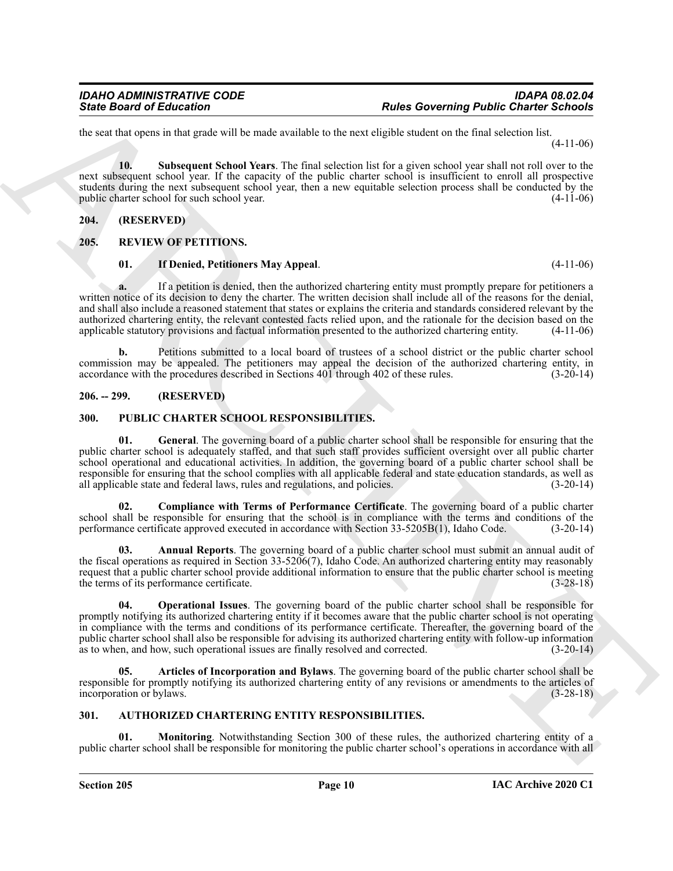the seat that opens in that grade will be made available to the next eligible student on the final selection list. (4-11-06)

<span id="page-9-5"></span>**10. Subsequent School Years**. The final selection list for a given school year shall not roll over to the next subsequent school year. If the capacity of the public charter school is insufficient to enroll all prospective students during the next subsequent school year, then a new equitable selection process shall be conducted by the public charter school for such school year. (4-11-06) public charter school for such school year.

### <span id="page-9-0"></span>**204. (RESERVED)**

### <span id="page-9-1"></span>**205. REVIEW OF PETITIONS.**

### <span id="page-9-15"></span><span id="page-9-14"></span>**01. If Denied, Petitioners May Appeal**. (4-11-06)

**a.** If a petition is denied, then the authorized chartering entity must promptly prepare for petitioners a written notice of its decision to deny the charter. The written decision shall include all of the reasons for the denial, and shall also include a reasoned statement that states or explains the criteria and standards considered relevant by the authorized chartering entity, the relevant contested facts relied upon, and the rationale for the decision based on the applicable statutory provisions and factual information presented to the authorized chartering entity. (4-11-06)

**b.** Petitions submitted to a local board of trustees of a school district or the public charter school commission may be appealed. The petitioners may appeal the decision of the authorized chartering entity, in accordance with the procedures described in Sections 401 through 402 of these rules. (3-20-14) accordance with the procedures described in Sections 401 through 402 of these rules.

### <span id="page-9-2"></span>**206. -- 299. (RESERVED)**

### <span id="page-9-12"></span><span id="page-9-8"></span><span id="page-9-3"></span>**300. PUBLIC CHARTER SCHOOL RESPONSIBILITIES.**

Since Board of Enkrement \*\*\*\*\*<br>
Let us Governing Public Charter School<br>
Let us the specific state of the transformation in the specific state of the specific state of the specific state of the specific state of the specif **01. General**. The governing board of a public charter school shall be responsible for ensuring that the public charter school is adequately staffed, and that such staff provides sufficient oversight over all public charter school operational and educational activities. In addition, the governing board of a public charter school shall be responsible for ensuring that the school complies with all applicable federal and state education standards, as well as all applicable state and federal laws, rules and regulations, and policies. (3-20-14)

<span id="page-9-11"></span>**02. Compliance with Terms of Performance Certificate**. The governing board of a public charter school shall be responsible for ensuring that the school is in compliance with the terms and conditions of the performance certificate approved executed in accordance with Section 33-5205B(1), Idaho Code. (3-20-14)

<span id="page-9-9"></span>**03. Annual Reports**. The governing board of a public charter school must submit an annual audit of the fiscal operations as required in Section 33-5206(7), Idaho Code. An authorized chartering entity may reasonably request that a public charter school provide additional information to ensure that the public charter school is meeting the terms of its performance certificate. (3-28-18)

<span id="page-9-13"></span>**04. Operational Issues**. The governing board of the public charter school shall be responsible for promptly notifying its authorized chartering entity if it becomes aware that the public charter school is not operating in compliance with the terms and conditions of its performance certificate. Thereafter, the governing board of the public charter school shall also be responsible for advising its authorized chartering entity with follow-up information as to when, and how, such operational issues are finally resolved and corrected. (3-20-14)

<span id="page-9-10"></span>**05. Articles of Incorporation and Bylaws**. The governing board of the public charter school shall be responsible for promptly notifying its authorized chartering entity of any revisions or amendments to the articles of incorporation or bylaws. (3-28-18)

### <span id="page-9-6"></span><span id="page-9-4"></span>**301. AUTHORIZED CHARTERING ENTITY RESPONSIBILITIES.**

<span id="page-9-7"></span>**Monitoring.** Notwithstanding Section 300 of these rules, the authorized chartering entity of a public charter school shall be responsible for monitoring the public charter school's operations in accordance with all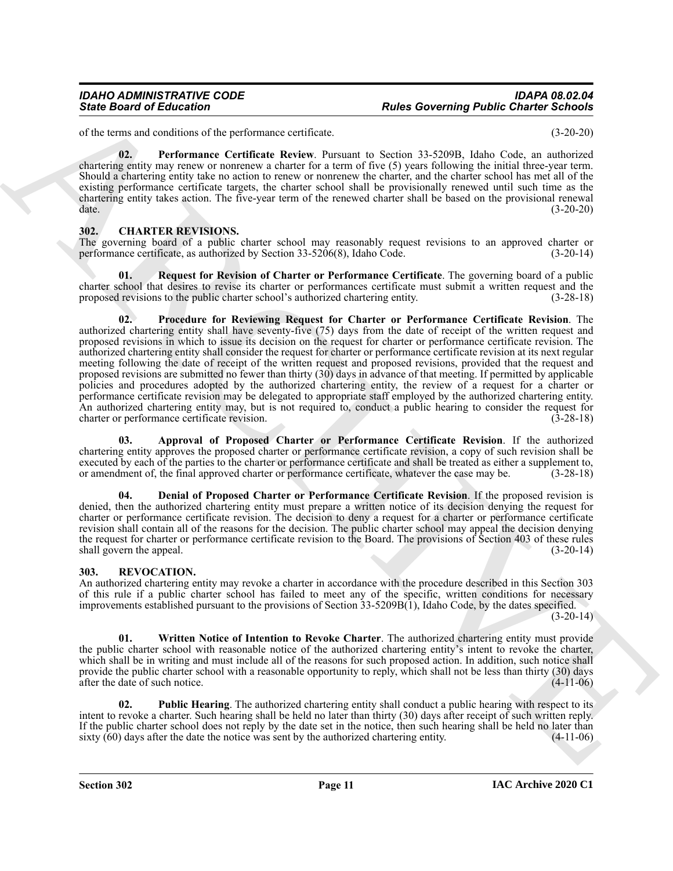of the terms and conditions of the performance certificate. (3-20-20)

<span id="page-10-2"></span>**02. Performance Certificate Review**. Pursuant to Section 33-5209B, Idaho Code, an authorized chartering entity may renew or nonrenew a charter for a term of five (5) years following the initial three-year term. Should a chartering entity take no action to renew or nonrenew the charter, and the charter school has met all of the existing performance certificate targets, the charter school shall be provisionally renewed until such time as the chartering entity takes action. The five-year term of the renewed charter shall be based on the provisional renewal date. (3-20-20)

### <span id="page-10-3"></span><span id="page-10-0"></span>**302. CHARTER REVISIONS.**

The governing board of a public charter school may reasonably request revisions to an approved charter or performance certificate, as authorized by Section 33-5206(8), Idaho Code. (3-20-14) performance certificate, as authorized by Section 33-5206(8), Idaho Code.

<span id="page-10-7"></span><span id="page-10-6"></span>**01. Request for Revision of Charter or Performance Certificate**. The governing board of a public charter school that desires to revise its charter or performances certificate must submit a written request and the proposed revisions to the public charter school's authorized chartering entity. (3-28-18)

Since Board of Education <sup>2</sup> Three Governing Public Charter as the state of the state of the state of the state of the state of the state of the state of the state of the state of the state of the state of the state of th **02. Procedure for Reviewing Request for Charter or Performance Certificate Revision**. The authorized chartering entity shall have seventy-five (75) days from the date of receipt of the written request and proposed revisions in which to issue its decision on the request for charter or performance certificate revision. The authorized chartering entity shall consider the request for charter or performance certificate revision at its next regular meeting following the date of receipt of the written request and proposed revisions, provided that the request and proposed revisions are submitted no fewer than thirty (30) days in advance of that meeting. If permitted by applicable policies and procedures adopted by the authorized chartering entity, the review of a request for a charter or performance certificate revision may be delegated to appropriate staff employed by the authorized chartering entity. An authorized chartering entity may, but is not required to, conduct a public hearing to consider the request for charter or performance certificate revision. (3-28-18) charter or performance certificate revision.

<span id="page-10-4"></span>**03. Approval of Proposed Charter or Performance Certificate Revision**. If the authorized chartering entity approves the proposed charter or performance certificate revision, a copy of such revision shall be executed by each of the parties to the charter or performance certificate and shall be treated as either a supplement to, or amendment of, the final approved charter or performance certificate, whatever the case may be. (3-28-18)

<span id="page-10-5"></span>**04. Denial of Proposed Charter or Performance Certificate Revision**. If the proposed revision is denied, then the authorized chartering entity must prepare a written notice of its decision denying the request for charter or performance certificate revision. The decision to deny a request for a charter or performance certificate revision shall contain all of the reasons for the decision. The public charter school may appeal the decision denying the request for charter or performance certificate revision to the Board. The provisions of Section 403 of these rules shall govern the appeal. (3-20-14) (3-20-14)

### <span id="page-10-8"></span><span id="page-10-1"></span>**303. REVOCATION.**

An authorized chartering entity may revoke a charter in accordance with the procedure described in this Section 303 of this rule if a public charter school has failed to meet any of the specific, written conditions for necessary improvements established pursuant to the provisions of Section 33-5209B(1), Idaho Code, by the dates specified.

 $(3-20-14)$ 

<span id="page-10-10"></span>**01. Written Notice of Intention to Revoke Charter**. The authorized chartering entity must provide the public charter school with reasonable notice of the authorized chartering entity's intent to revoke the charter, which shall be in writing and must include all of the reasons for such proposed action. In addition, such notice shall provide the public charter school with a reasonable opportunity to reply, which shall not be less than thirty (30) days after the date of such notice. after the date of such notice.

<span id="page-10-9"></span>**02. Public Hearing**. The authorized chartering entity shall conduct a public hearing with respect to its intent to revoke a charter. Such hearing shall be held no later than thirty (30) days after receipt of such written reply. If the public charter school does not reply by the date set in the notice, then such hearing shall be held no later than sixty (60) days after the date the notice was sent by the authorized chartering entity.  $(4-11-06)$ sixty  $(60)$  days after the date the notice was sent by the authorized chartering entity.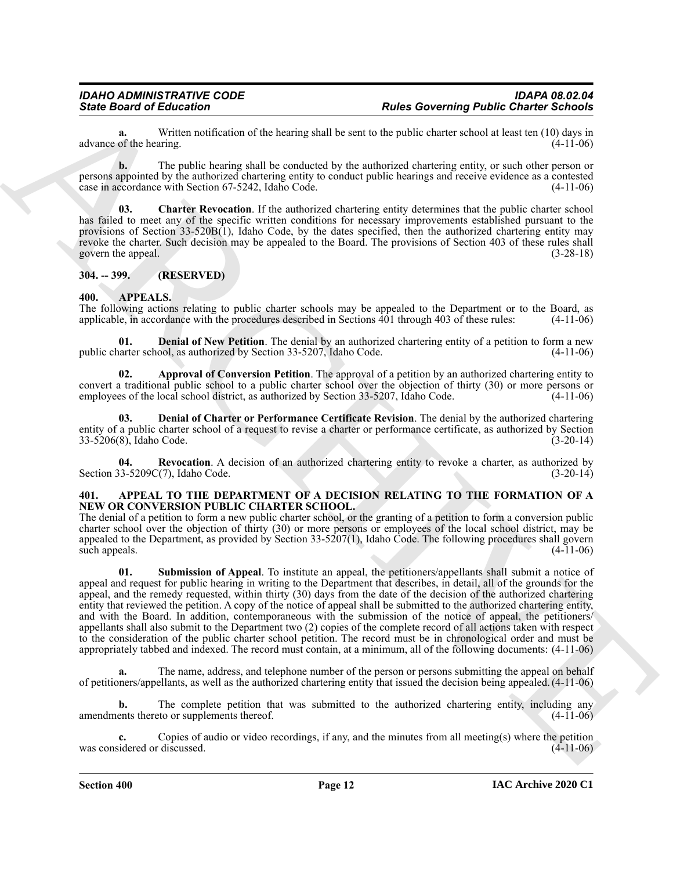**a.** Written notification of the hearing shall be sent to the public charter school at least ten (10) days in of the hearing. (4-11-06) advance of the hearing.

**b.** The public hearing shall be conducted by the authorized chartering entity, or such other person or persons appointed by the authorized chartering entity to conduct public hearings and receive evidence as a contested case in accordance with Section 67-5242, Idaho Code. (4-11-06)

<span id="page-11-10"></span>**03. Charter Revocation**. If the authorized chartering entity determines that the public charter school has failed to meet any of the specific written conditions for necessary improvements established pursuant to the provisions of Section  $33-520B(1)$ , Idaho Code, by the dates specified, then the authorized chartering entity may revoke the charter. Such decision may be appealed to the Board. The provisions of Section 403 of these rules shall govern the appeal. (3-28-18) (3-28-18)

### <span id="page-11-0"></span>**304. -- 399. (RESERVED)**

### <span id="page-11-5"></span><span id="page-11-1"></span>**400. APPEALS.**

The following actions relating to public charter schools may be appealed to the Department or to the Board, as applicable, in accordance with the procedures described in Sections 401 through 403 of these rules: (4-11-06) applicable, in accordance with the procedures described in Sections  $\hat{40}1$  through 403 of these rules:

<span id="page-11-8"></span>**01. Denial of New Petition**. The denial by an authorized chartering entity of a petition to form a new public charter school, as authorized by Section 33-5207, Idaho Code.

<span id="page-11-6"></span>**02. Approval of Conversion Petition**. The approval of a petition by an authorized chartering entity to convert a traditional public school to a public charter school over the objection of thirty (30) or more persons or employees of the local school district, as authorized by Section 33-5207, Idaho Code. (4-11-06)

<span id="page-11-7"></span>**03. Denial of Charter or Performance Certificate Revision**. The denial by the authorized chartering entity of a public charter school of a request to revise a charter or performance certificate, as authorized by Section 33-5206(8), Idaho Code. (3-20-14)

<span id="page-11-9"></span>**04. Revocation**. A decision of an authorized chartering entity to revoke a charter, as authorized by  $(3-5209C(7))$ , Idaho Code.  $(3-20-14)$ Section  $33-5209C(7)$ , Idaho Code.

### <span id="page-11-3"></span><span id="page-11-2"></span>**401. APPEAL TO THE DEPARTMENT OF A DECISION RELATING TO THE FORMATION OF A NEW OR CONVERSION PUBLIC CHARTER SCHOOL.**

<span id="page-11-4"></span>The denial of a petition to form a new public charter school, or the granting of a petition to form a conversion public charter school over the objection of thirty (30) or more persons or employees of the local school district, may be appealed to the Department, as provided by Section 33-5207(1), Idaho Code. The following procedures shall govern such appeals.  $(4-11-06)$ 

Sinte Board of Education <sup>2</sup> and the board of the subsection and the political state of the subsection of the subsection of the subsection of the subsection of the subsection of the subsection of the subsection of the sub **01. Submission of Appeal**. To institute an appeal, the petitioners/appellants shall submit a notice of appeal and request for public hearing in writing to the Department that describes, in detail, all of the grounds for the appeal, and the remedy requested, within thirty (30) days from the date of the decision of the authorized chartering entity that reviewed the petition. A copy of the notice of appeal shall be submitted to the authorized chartering entity, and with the Board. In addition, contemporaneous with the submission of the notice of appeal, the petitioners/ appellants shall also submit to the Department two (2) copies of the complete record of all actions taken with respect to the consideration of the public charter school petition. The record must be in chronological order and must be appropriately tabbed and indexed. The record must contain, at a minimum, all of the following documents: (4-11-06)

**a.** The name, address, and telephone number of the person or persons submitting the appeal on behalf of petitioners/appellants, as well as the authorized chartering entity that issued the decision being appealed. (4-11-06)

**b.** The complete petition that was submitted to the authorized chartering entity, including any amendments thereto or supplements thereof. (4-11-06)

Copies of audio or video recordings, if any, and the minutes from all meeting(s) where the petition discussed. (4-11-06) was considered or discussed.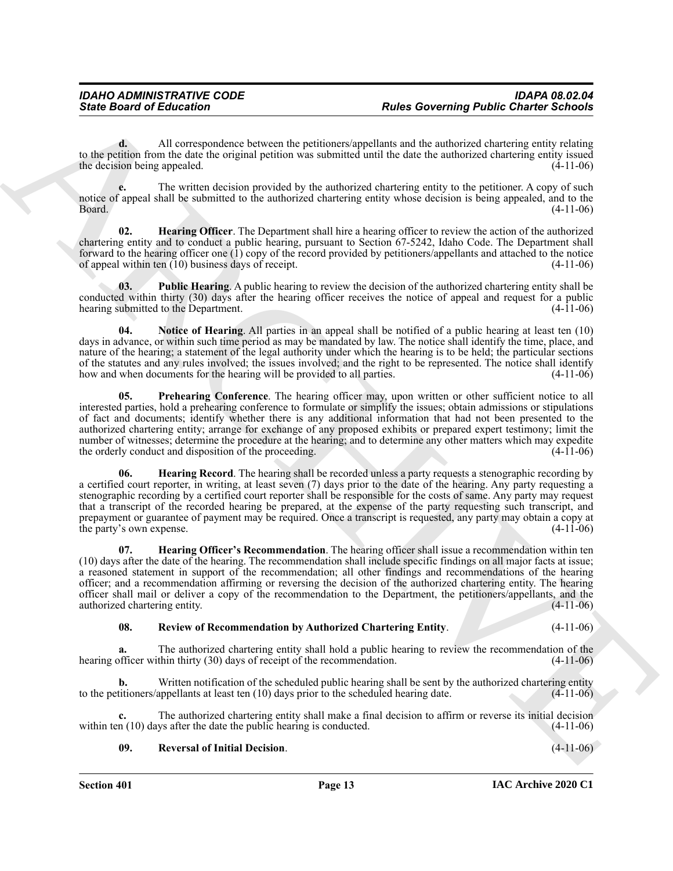**d.** All correspondence between the petitioners/appellants and the authorized chartering entity relating to the petition from the date the original petition was submitted until the date the authorized chartering entity issued<br>the decision being appealed. (4-11-06) the decision being appealed.

**e.** The written decision provided by the authorized chartering entity to the petitioner. A copy of such notice of appeal shall be submitted to the authorized chartering entity whose decision is being appealed, and to the  $Board.$  (4-11-06)

<span id="page-12-0"></span>**Hearing Officer**. The Department shall hire a hearing officer to review the action of the authorized chartering entity and to conduct a public hearing, pursuant to Section 67-5242, Idaho Code. The Department shall forward to the hearing officer one (1) copy of the record provided by petitioners/appellants and attached to the notice of appeal within ten (10) business days of receipt. of appeal within ten  $(10)$  business days of receipt.

<span id="page-12-5"></span>**03. Public Hearing**. A public hearing to review the decision of the authorized chartering entity shall be conducted within thirty (30) days after the hearing officer receives the notice of appeal and request for a public<br>hearing submitted to the Department. (4-11-06) hearing submitted to the Department.

<span id="page-12-4"></span><span id="page-12-3"></span>**04. Notice of Hearing**. All parties in an appeal shall be notified of a public hearing at least ten (10) days in advance, or within such time period as may be mandated by law. The notice shall identify the time, place, and nature of the hearing; a statement of the legal authority under which the hearing is to be held; the particular sections of the statutes and any rules involved; the issues involved; and the right to be represented. The notice shall identify how and when documents for the hearing will be provided to all parties. (4-11-06)

Since Board of Echanics Conserts and the Charitage Real tensors and the characteristic particular or  $\mu$  and the characteristic particular interest in the characteristic particular interest in the characteristic particul **05.** Prehearing Conference. The hearing officer may, upon written or other sufficient notice to all interested parties, hold a prehearing conference to formulate or simplify the issues; obtain admissions or stipulations of fact and documents; identify whether there is any additional information that had not been presented to the authorized chartering entity; arrange for exchange of any proposed exhibits or prepared expert testimony; limit the number of witnesses; determine the procedure at the hearing; and to determine any other matters which may expedite<br>the orderly conduct and disposition of the proceeding. (4-11-06) the orderly conduct and disposition of the proceeding.

<span id="page-12-2"></span>**06. Hearing Record**. The hearing shall be recorded unless a party requests a stenographic recording by a certified court reporter, in writing, at least seven (7) days prior to the date of the hearing. Any party requesting a stenographic recording by a certified court reporter shall be responsible for the costs of same. Any party may request that a transcript of the recorded hearing be prepared, at the expense of the party requesting such transcript, and prepayment or guarantee of payment may be required. Once a transcript is requested, any party may obtain a copy at the party's own expense. (4-11-06)

<span id="page-12-1"></span>**07. Hearing Officer's Recommendation**. The hearing officer shall issue a recommendation within ten (10) days after the date of the hearing. The recommendation shall include specific findings on all major facts at issue; a reasoned statement in support of the recommendation; all other findings and recommendations of the hearing officer; and a recommendation affirming or reversing the decision of the authorized chartering entity. The hearing officer shall mail or deliver a copy of the recommendation to the Department, the petitioners/appellants, and the authorized chartering entity.

### <span id="page-12-7"></span>**08. Review of Recommendation by Authorized Chartering Entity**. (4-11-06)

**a.** The authorized chartering entity shall hold a public hearing to review the recommendation of the hearing officer within thirty (30) days of receipt of the recommendation. (4-11-06)

**b.** Written notification of the scheduled public hearing shall be sent by the authorized chartering entity to the petitioners/appellants at least ten (10) days prior to the scheduled hearing date. (4-11-06)

The authorized chartering entity shall make a final decision to affirm or reverse its initial decision ys after the date the public hearing is conducted. (4-11-06) within ten  $(10)$  days after the date the public hearing is conducted.

<span id="page-12-6"></span>**09. Reversal of Initial Decision**. (4-11-06)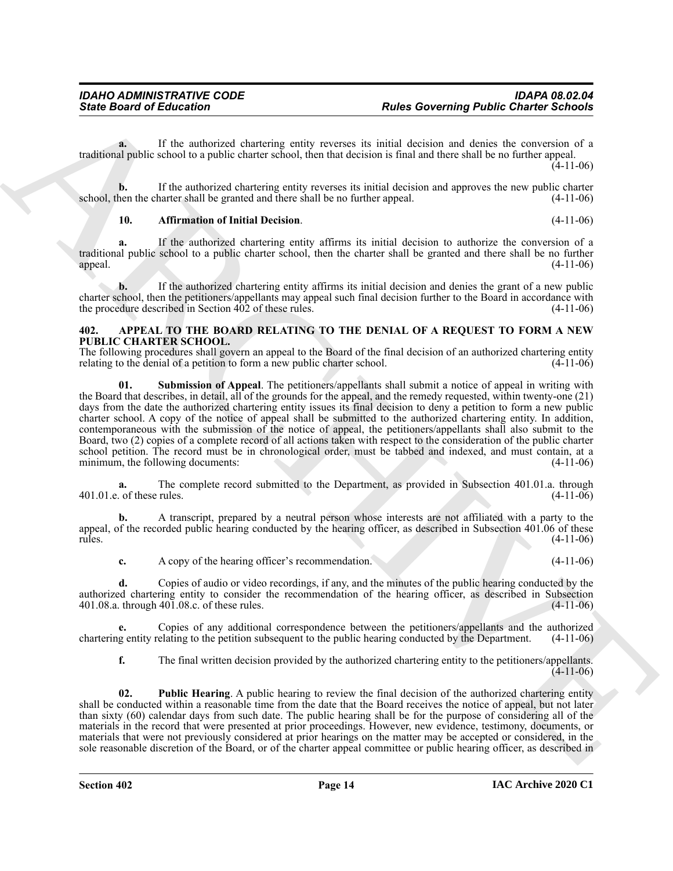**a.** If the authorized chartering entity reverses its initial decision and denies the conversion of a traditional public school to a public charter school, then that decision is final and there shall be no further appeal.

 $(4-11-06)$ 

**b.** If the authorized chartering entity reverses its initial decision and approves the new public charter hen the charter shall be granted and there shall be no further appeal. (4-11-06) school, then the charter shall be granted and there shall be no further appeal.

### <span id="page-13-4"></span>**10. Affirmation of Initial Decision**. (4-11-06)

**a.** If the authorized chartering entity affirms its initial decision to authorize the conversion of a traditional public school to a public charter school, then the charter shall be granted and there shall be no further appeal.  $(4-11-06)$ appeal. (4-11-06)

**b.** If the authorized chartering entity affirms its initial decision and denies the grant of a new public charter school, then the petitioners/appellants may appeal such final decision further to the Board in accordance with the procedure described in Section 402 of these rules. (4-11-06) the procedure described in Section  $402$  of these rules.

### <span id="page-13-1"></span><span id="page-13-0"></span>**402. APPEAL TO THE BOARD RELATING TO THE DENIAL OF A REQUEST TO FORM A NEW PUBLIC CHARTER SCHOOL.**

<span id="page-13-3"></span>The following procedures shall govern an appeal to the Board of the final decision of an authorized chartering entity relating to the denial of a petition to form a new public charter school. (4-11-06) relating to the denial of a petition to form a new public charter school.

Sinte Board of Enforces Control interactions and the subsection of the subsection of the subsection of the subsection of the subsection of the subsection of the subsection of the subsection of the subsection of the subsec **01. Submission of Appeal**. The petitioners/appellants shall submit a notice of appeal in writing with the Board that describes, in detail, all of the grounds for the appeal, and the remedy requested, within twenty-one (21) days from the date the authorized chartering entity issues its final decision to deny a petition to form a new public charter school. A copy of the notice of appeal shall be submitted to the authorized chartering entity. In addition, contemporaneous with the submission of the notice of appeal, the petitioners/appellants shall also submit to the Board, two (2) copies of a complete record of all actions taken with respect to the consideration of the public charter school petition. The record must be in chronological order, must be tabbed and indexed, and must contain, at a<br>minimum, the following documents: (4-11-06) minimum, the following documents:

**a.** The complete record submitted to the Department, as provided in Subsection 401.01.a. through 401.01.e. of these rules. (4-11-06)

**b.** A transcript, prepared by a neutral person whose interests are not affiliated with a party to the appeal, of the recorded public hearing conducted by the hearing officer, as described in Subsection 401.06 of these rules. (4-11-06)

**c.** A copy of the hearing officer's recommendation. (4-11-06)

**d.** Copies of audio or video recordings, if any, and the minutes of the public hearing conducted by the authorized chartering entity to consider the recommendation of the hearing officer, as described in Subsection 401.08.a. through 401.08.c. of these rules. (4-11-06) 401.08.a. through  $40\overline{1.08}$ .c. of these rules.

**e.** Copies of any additional correspondence between the petitioners/appellants and the authorized gentity relating to the petition subsequent to the public hearing conducted by the Department. (4-11-06) chartering entity relating to the petition subsequent to the public hearing conducted by the Department.

<span id="page-13-2"></span>**f.** The final written decision provided by the authorized chartering entity to the petitioners/appellants.  $(4-11-06)$ 

**02. Public Hearing**. A public hearing to review the final decision of the authorized chartering entity shall be conducted within a reasonable time from the date that the Board receives the notice of appeal, but not later than sixty (60) calendar days from such date. The public hearing shall be for the purpose of considering all of the materials in the record that were presented at prior proceedings. However, new evidence, testimony, documents, or materials that were not previously considered at prior hearings on the matter may be accepted or considered, in the sole reasonable discretion of the Board, or of the charter appeal committee or public hearing officer, as described in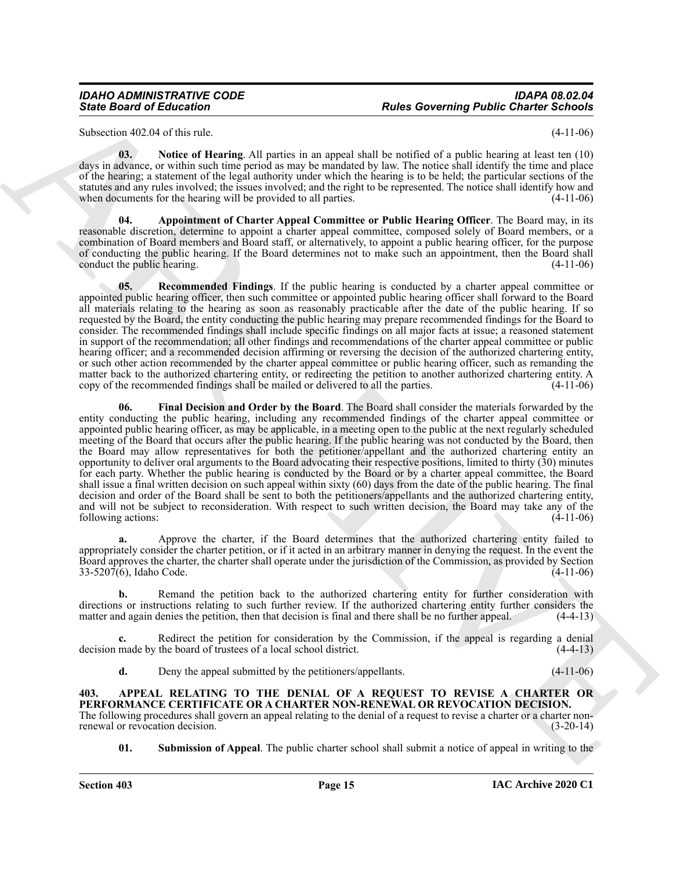Subsection 402.04 of this rule. (4-11-06)

<span id="page-14-5"></span>**03. Notice of Hearing**. All parties in an appeal shall be notified of a public hearing at least ten (10) days in advance, or within such time period as may be mandated by law. The notice shall identify the time and place of the hearing; a statement of the legal authority under which the hearing is to be held; the particular sections of the statutes and any rules involved; the issues involved; and the right to be represented. The notice shall identify how and when documents for the hearing will be provided to all parties. (4-11-06) when documents for the hearing will be provided to all parties.

<span id="page-14-3"></span>**04. Appointment of Charter Appeal Committee or Public Hearing Officer**. The Board may, in its reasonable discretion, determine to appoint a charter appeal committee, composed solely of Board members, or a combination of Board members and Board staff, or alternatively, to appoint a public hearing officer, for the purpose of conducting the public hearing. If the Board determines not to make such an appointment, then the Board shall<br>conduct the public hearing. (4-11-06) conduct the public hearing.

<span id="page-14-6"></span><span id="page-14-4"></span>**05. Recommended Findings**. If the public hearing is conducted by a charter appeal committee or appointed public hearing officer, then such committee or appointed public hearing officer shall forward to the Board all materials relating to the hearing as soon as reasonably practicable after the date of the public hearing. If so requested by the Board, the entity conducting the public hearing may prepare recommended findings for the Board to consider. The recommended findings shall include specific findings on all major facts at issue; a reasoned statement in support of the recommendation; all other findings and recommendations of the charter appeal committee or public hearing officer; and a recommended decision affirming or reversing the decision of the authorized chartering entity, or such other action recommended by the charter appeal committee or public hearing officer, such as remanding the matter back to the authorized chartering entity, or redirecting the petition to another authorized chartering entity. A copy of the recommended findings shall be mailed or delivered to all the parties. (4-11-06) copy of the recommended findings shall be mailed or delivered to all the parties.

Since Board of Education<br>
Solve Governing Public Charter School<br>
Solvey (a) the school of Education Charter School of the school of the school of the school of the school of the school of the school of the school of the s **06. Final Decision and Order by the Board**. The Board shall consider the materials forwarded by the entity conducting the public hearing, including any recommended findings of the charter appeal committee or appointed public hearing officer, as may be applicable, in a meeting open to the public at the next regularly scheduled meeting of the Board that occurs after the public hearing. If the public hearing was not conducted by the Board, then the Board may allow representatives for both the petitioner/appellant and the authorized chartering entity an opportunity to deliver oral arguments to the Board advocating their respective positions, limited to thirty (30) minutes for each party. Whether the public hearing is conducted by the Board or by a charter appeal committee, the Board shall issue a final written decision on such appeal within sixty (60) days from the date of the public hearing. The final decision and order of the Board shall be sent to both the petitioners/appellants and the authorized chartering entity, and will not be subject to reconsideration. With respect to such written decision, the Board may take any of the following actions: (4-11-06)

**a.** Approve the charter, if the Board determines that the authorized chartering entity failed to appropriately consider the charter petition, or if it acted in an arbitrary manner in denying the request. In the event the Board approves the charter, the charter shall operate under the jurisdiction of the Commission, as provided by Section 33-5207(6), Idaho Code. (4-11-06)

**b.** Remand the petition back to the authorized chartering entity for further consideration with directions or instructions relating to such further review. If the authorized chartering entity further considers the matter and again denies the petition, then that decision is final and there shall be no further appeal. (4-4-13)

Redirect the petition for consideration by the Commission, if the appeal is regarding a denial decision made by the board of trustees of a local school district. (4-4-13)

<span id="page-14-1"></span>**d.** Deny the appeal submitted by the petitioners/appellants. (4-11-06)

<span id="page-14-0"></span>**403. APPEAL RELATING TO THE DENIAL OF A REQUEST TO REVISE A CHARTER OR PERFORMANCE CERTIFICATE OR A CHARTER NON-RENEWAL OR REVOCATION DECISION.** The following procedures shall govern an appeal relating to the denial of a request to revise a charter or a charter non-<br>
(3-20-14) renewal or revocation decision.

<span id="page-14-2"></span>**01.** Submission of Appeal. The public charter school shall submit a notice of appeal in writing to the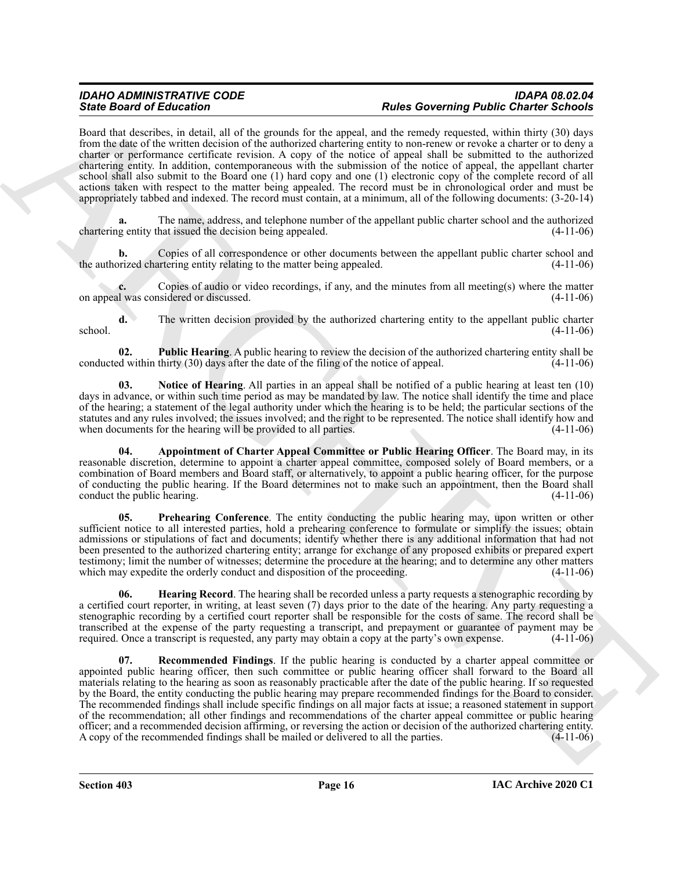Board that describes, in detail, all of the grounds for the appeal, and the remedy requested, within thirty (30) days from the date of the written decision of the authorized chartering entity to non-renew or revoke a charter or to deny a charter or performance certificate revision. A copy of the notice of appeal shall be submitted to the authorized chartering entity. In addition, contemporaneous with the submission of the notice of appeal, the appellant charter school shall also submit to the Board one (1) hard copy and one (1) electronic copy of the complete record of all actions taken with respect to the matter being appealed. The record must be in chronological order and must be appropriately tabbed and indexed. The record must contain, at a minimum, all of the following documents: (3-20-14)

**a.** The name, address, and telephone number of the appellant public charter school and the authorized chartering entity that issued the decision being appealed. (4-11-06)

**b.** Copies of all correspondence or other documents between the appellant public charter school and prized chartering entity relating to the matter being appealed. (4-11-06) the authorized chartering entity relating to the matter being appealed.

**c.** Copies of audio or video recordings, if any, and the minutes from all meeting(s) where the matter on appeal was considered or discussed. (4-11-06)

**d.** The written decision provided by the authorized chartering entity to the appellant public charter  $\frac{4-11-06}{2}$ 

<span id="page-15-4"></span>**02. Public Hearing**. A public hearing to review the decision of the authorized chartering entity shall be d within thirty (30) days after the date of the filing of the notice of appeal. (4-11-06) conducted within thirty (30) days after the date of the filing of the notice of appeal.

<span id="page-15-2"></span>**03. Notice of Hearing**. All parties in an appeal shall be notified of a public hearing at least ten (10) days in advance, or within such time period as may be mandated by law. The notice shall identify the time and place of the hearing; a statement of the legal authority under which the hearing is to be held; the particular sections of the statutes and any rules involved; the issues involved; and the right to be represented. The notice shall identify how and when documents for the hearing will be provided to all parties. (4-11-06)

<span id="page-15-0"></span>**04. Appointment of Charter Appeal Committee or Public Hearing Officer**. The Board may, in its reasonable discretion, determine to appoint a charter appeal committee, composed solely of Board members, or a combination of Board members and Board staff, or alternatively, to appoint a public hearing officer, for the purpose of conducting the public hearing. If the Board determines not to make such an appointment, then the Board shall conduct the public hearing. (4-11-06)

<span id="page-15-3"></span>**05. Prehearing Conference**. The entity conducting the public hearing may, upon written or other sufficient notice to all interested parties, hold a prehearing conference to formulate or simplify the issues; obtain admissions or stipulations of fact and documents; identify whether there is any additional information that had not been presented to the authorized chartering entity; arrange for exchange of any proposed exhibits or prepared expert testimony; limit the number of witnesses; determine the procedure at the hearing; and to determine any other matters which may expedite the orderly conduct and disposition of the proceeding. (4-11-06)

<span id="page-15-5"></span><span id="page-15-1"></span>**06. Hearing Record**. The hearing shall be recorded unless a party requests a stenographic recording by a certified court reporter, in writing, at least seven (7) days prior to the date of the hearing. Any party requesting a stenographic recording by a certified court reporter shall be responsible for the costs of same. The record shall be transcribed at the expense of the party requesting a transcript, and prepayment or guarantee of payment may be required. Once a transcript is requested, any party may obtain a copy at the party's own expense. (4-11-06)

Since Board of Editorios and distinctive the later of the space of the space of the space of the space of the space of the space of the space of the space of the space of the space of the space of the space of the space o **07. Recommended Findings**. If the public hearing is conducted by a charter appeal committee or appointed public hearing officer, then such committee or public hearing officer shall forward to the Board all materials relating to the hearing as soon as reasonably practicable after the date of the public hearing. If so requested by the Board, the entity conducting the public hearing may prepare recommended findings for the Board to consider. The recommended findings shall include specific findings on all major facts at issue; a reasoned statement in support of the recommendation; all other findings and recommendations of the charter appeal committee or public hearing officer; and a recommended decision affirming, or reversing the action or decision of the authorized chartering entity. A copy of the recommended findings shall be mailed or delivered to all the parties. (4-11-06)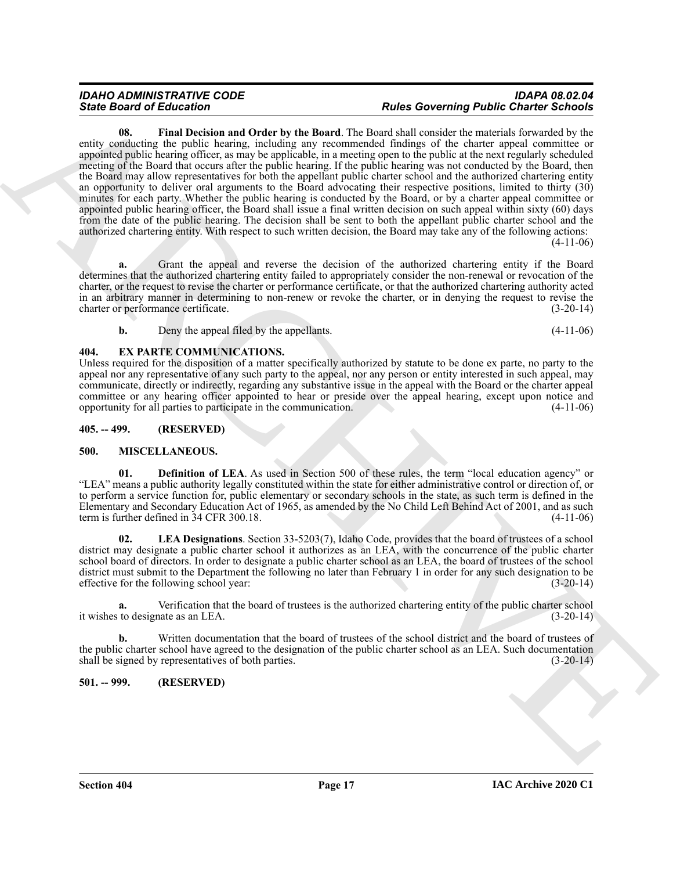<span id="page-16-4"></span>Since Brazil in the University of the Basel and School of the University Palace Control of the University Palace Control of the University Palace Control of the University Palace Control of the University Palace Control o **08. Final Decision and Order by the Board**. The Board shall consider the materials forwarded by the entity conducting the public hearing, including any recommended findings of the charter appeal committee or appointed public hearing officer, as may be applicable, in a meeting open to the public at the next regularly scheduled meeting of the Board that occurs after the public hearing. If the public hearing was not conducted by the Board, then the Board may allow representatives for both the appellant public charter school and the authorized chartering entity an opportunity to deliver oral arguments to the Board advocating their respective positions, limited to thirty (30) minutes for each party. Whether the public hearing is conducted by the Board, or by a charter appeal committee or appointed public hearing officer, the Board shall issue a final written decision on such appeal within sixty (60) days from the date of the public hearing. The decision shall be sent to both the appellant public charter school and the authorized chartering entity. With respect to such written decision, the Board may take any of the following actions:  $(4-11-06)$ 

**a.** Grant the appeal and reverse the decision of the authorized chartering entity if the Board determines that the authorized chartering entity failed to appropriately consider the non-renewal or revocation of the charter, or the request to revise the charter or performance certificate, or that the authorized chartering authority acted in an arbitrary manner in determining to non-renew or revoke the charter, or in denying the request to revise the charter or performance certificate. (3-20-14) charter or performance certificate.

<span id="page-16-5"></span>**b.** Deny the appeal filed by the appellants. (4-11-06)

### <span id="page-16-0"></span>**404. EX PARTE COMMUNICATIONS.**

Unless required for the disposition of a matter specifically authorized by statute to be done ex parte, no party to the appeal nor any representative of any such party to the appeal, nor any person or entity interested in such appeal, may communicate, directly or indirectly, regarding any substantive issue in the appeal with the Board or the charter appeal committee or any hearing officer appointed to hear or preside over the appeal hearing, except upon notice and opportunity for all parties to participate in the communication. (4-11-06) opportunity for all parties to participate in the communication.

### <span id="page-16-1"></span>**405. -- 499. (RESERVED)**

### <span id="page-16-6"></span><span id="page-16-2"></span>**500. MISCELLANEOUS.**

<span id="page-16-7"></span>**01. Definition of LEA**. As used in Section 500 of these rules, the term "local education agency" or "LEA" means a public authority legally constituted within the state for either administrative control or direction of, or to perform a service function for, public elementary or secondary schools in the state, as such term is defined in the Elementary and Secondary Education Act of 1965, as amended by the No Child Left Behind Act of 2001, and as such term is further defined in 34 CFR 300.18. (4-11-06)

<span id="page-16-8"></span>**02. LEA Designations**. Section 33-5203(7), Idaho Code, provides that the board of trustees of a school district may designate a public charter school it authorizes as an LEA, with the concurrence of the public charter school board of directors. In order to designate a public charter school as an LEA, the board of trustees of the school district must submit to the Department the following no later than February 1 in order for any such designation to be effective for the following school year: (3-20-14)

**a.** Verification that the board of trustees is the authorized chartering entity of the public charter school it wishes to designate as an LEA. (3-20-14)

**b.** Written documentation that the board of trustees of the school district and the board of trustees of the public charter school have agreed to the designation of the public charter school as an LEA. Such documentation shall be signed by representatives of both parties. (3-20-14)

### <span id="page-16-3"></span>**501. -- 999. (RESERVED)**